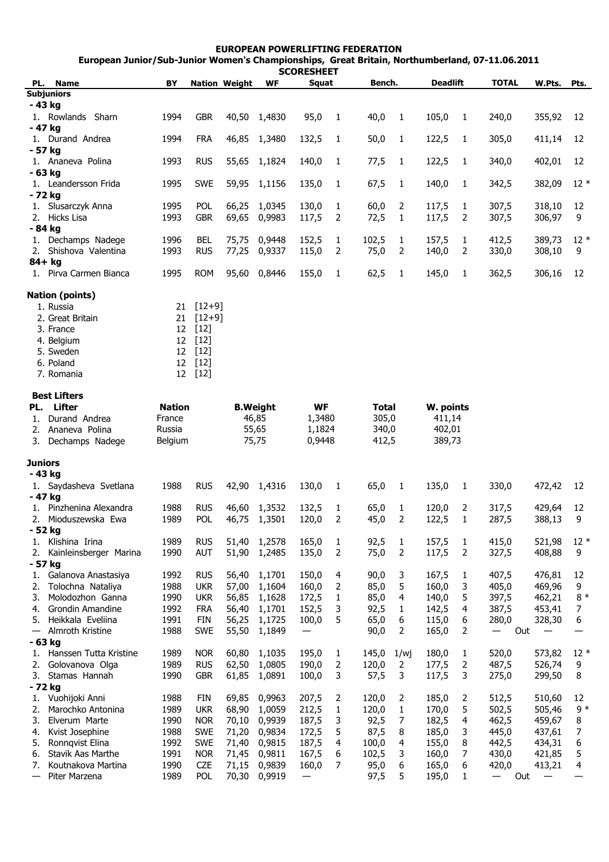| <b>EUROPEAN POWERLIFTING FEDERATION</b><br>European Junior/Sub-Junior Women's Championships, Great Britain, Northumberland, 07-11.06.2011 |               |             |                      |                 |                            |                |              |                |                     |                |              |        |        |
|-------------------------------------------------------------------------------------------------------------------------------------------|---------------|-------------|----------------------|-----------------|----------------------------|----------------|--------------|----------------|---------------------|----------------|--------------|--------|--------|
| PL. Name                                                                                                                                  | BY            |             |                      |                 | <b>SCORESHEET</b><br>Squat |                | Bench.       |                | <b>Deadlift</b>     |                | <b>TOTAL</b> | W.Pts. |        |
| <b>Subjuniors</b>                                                                                                                         |               |             | <b>Nation Weight</b> | WF              |                            |                |              |                |                     |                |              |        | Pts.   |
| - 43 kg                                                                                                                                   |               |             |                      |                 |                            |                |              |                |                     |                |              |        |        |
| 1. Rowlands Sharn                                                                                                                         | 1994          | <b>GBR</b>  | 40,50                | 1,4830          | 95,0                       | $\mathbf{1}$   | 40,0         | $\mathbf{1}$   | 105,0               | 1              | 240,0        | 355,92 | 12     |
| - 47 kg                                                                                                                                   |               |             |                      |                 |                            |                |              |                |                     |                |              |        |        |
| 1. Durand Andrea                                                                                                                          | 1994          | <b>FRA</b>  | 46,85                | 1,3480          | 132,5                      | 1              | 50,0         | $\mathbf{1}$   | 122,5               | 1              | 305,0        | 411,14 | 12     |
| - 57 ka                                                                                                                                   |               |             |                      |                 |                            |                |              |                |                     |                |              |        |        |
| 1. Ananeva Polina                                                                                                                         | 1993          | <b>RUS</b>  | 55,65                | 1,1824          | 140,0                      | $\mathbf{1}$   | 77,5         | 1              | 122,5               | $\mathbf{1}$   | 340,0        | 402,01 | 12     |
| $-63$ kg                                                                                                                                  |               |             |                      |                 |                            |                |              |                |                     |                |              |        |        |
| 1. Leandersson Frida                                                                                                                      | 1995          | <b>SWE</b>  | 59,95                | 1,1156          | 135,0                      | $\mathbf{1}$   | 67,5         | $\mathbf{1}$   | 140,0               | $\mathbf{1}$   | 342,5        | 382,09 | $12*$  |
| - 72 kg                                                                                                                                   |               |             |                      |                 |                            |                |              |                |                     |                |              |        |        |
| 1. Slusarczyk Anna                                                                                                                        | 1995          | <b>POL</b>  | 66,25                | 1,0345          | 130,0                      | $\mathbf{1}$   | 60,0         | 2              | 117,5               | 1              | 307,5        | 318,10 | 12     |
| Hicks Lisa<br>2.                                                                                                                          | 1993          | <b>GBR</b>  | 69,65                | 0,9983          | 117,5                      | $\overline{2}$ | 72,5         | 1              | 117,5               | $\overline{2}$ | 307,5        | 306,97 | 9      |
| - 84 kg                                                                                                                                   |               |             |                      |                 |                            |                |              |                |                     |                |              |        |        |
| 1. Dechamps Nadege                                                                                                                        | 1996          | <b>BEL</b>  | 75,75                | 0,9448          | 152,5                      | $\mathbf{1}$   | 102,5        | 1              | 157,5               | $\mathbf{1}$   | 412,5        | 389,73 | $12*$  |
| 2. Shishova Valentina                                                                                                                     | 1993          | <b>RUS</b>  | 77,25                | 0,9337          | 115,0                      | 2              | 75,0         | 2              | 140,0               | 2              | 330,0        | 308,10 | 9      |
| $84+$ kg<br>1. Pirva Carmen Bianca                                                                                                        |               |             |                      |                 |                            |                |              |                |                     |                |              |        |        |
|                                                                                                                                           | 1995          | <b>ROM</b>  | 95,60                | 0,8446          | 155,0                      | $\mathbf{1}$   | 62,5         | 1              | 145,0               | $\mathbf{1}$   | 362,5        | 306,16 | 12     |
| <b>Nation (points)</b>                                                                                                                    |               |             |                      |                 |                            |                |              |                |                     |                |              |        |        |
| 1. Russia                                                                                                                                 |               | $21$ [12+9] |                      |                 |                            |                |              |                |                     |                |              |        |        |
| 2. Great Britain                                                                                                                          |               | $21$ [12+9] |                      |                 |                            |                |              |                |                     |                |              |        |        |
| 3. France                                                                                                                                 |               | 12 [12]     |                      |                 |                            |                |              |                |                     |                |              |        |        |
| 4. Belgium                                                                                                                                |               | 12 [12]     |                      |                 |                            |                |              |                |                     |                |              |        |        |
| 5. Sweden                                                                                                                                 |               | 12 [12]     |                      |                 |                            |                |              |                |                     |                |              |        |        |
| 6. Poland                                                                                                                                 |               | 12 [12]     |                      |                 |                            |                |              |                |                     |                |              |        |        |
| 7. Romania                                                                                                                                |               | 12 [12]     |                      |                 |                            |                |              |                |                     |                |              |        |        |
|                                                                                                                                           |               |             |                      |                 |                            |                |              |                |                     |                |              |        |        |
| <b>Best Lifters</b><br>PL. Lifter                                                                                                         | <b>Nation</b> |             |                      | <b>B.Weight</b> | <b>WF</b>                  |                | <b>Total</b> |                |                     |                |              |        |        |
| Durand Andrea<br>1.                                                                                                                       | France        |             |                      | 46,85<br>1,3480 |                            |                | 305,0        |                | W. points<br>411,14 |                |              |        |        |
| 2.<br>Ananeva Polina                                                                                                                      | Russia        |             |                      | 55,65           | 1,1824                     |                | 340,0        |                | 402,01              |                |              |        |        |
| Dechamps Nadege<br>3.                                                                                                                     | Belgium       |             |                      | 75,75           | 0,9448                     |                | 412,5        |                | 389,73              |                |              |        |        |
|                                                                                                                                           |               |             |                      |                 |                            |                |              |                |                     |                |              |        |        |
| Juniors                                                                                                                                   |               |             |                      |                 |                            |                |              |                |                     |                |              |        |        |
| - 43 kg                                                                                                                                   |               |             |                      |                 |                            |                |              |                |                     |                |              |        |        |
| 1. Saydasheva Svetlana                                                                                                                    | 1988          | <b>RUS</b>  | 42,90                | 1,4316          | 130,0                      | $\mathbf{1}$   | 65,0         | 1              | 135,0               | $\mathbf{1}$   | 330,0        | 472,42 | 12     |
| - 47 kg                                                                                                                                   |               |             |                      |                 |                            |                |              |                |                     |                |              |        |        |
| 1. Pinzhenina Alexandra                                                                                                                   | 1988          | <b>RUS</b>  | 46,60                | 1,3532          | 132,5                      | $\mathbf{1}$   | 65,0         | 1              | 120,0               | 2              | 317,5        | 429,64 | 12     |
| 2. Mioduszewska Ewa                                                                                                                       | 1989          | POL         | 46,75                | 1,3501          | 120,0                      | $\overline{2}$ | 45,0         | $\overline{2}$ | 122,5               | $\mathbf{1}$   | 287,5        | 388,13 | 9      |
| - 52 kg                                                                                                                                   |               |             |                      |                 |                            |                |              |                |                     |                |              |        |        |
| 1. Klishina Irina                                                                                                                         | 1989          | <b>RUS</b>  | 51,40                | 1,2578          | 165,0                      | $\mathbf{1}$   | 92,5         | $\mathbf{1}$   | 157,5               | $\mathbf{1}$   | 415,0        | 521,98 | $12 *$ |
| Kainleinsberger Marina                                                                                                                    | 1990          | <b>AUT</b>  | 51,90                | 1,2485          | 135,0                      | $\overline{2}$ | 75,0         | $\overline{2}$ | 117,5               | $\overline{2}$ | 327,5        | 408,88 | 9      |
| - 57 kg                                                                                                                                   |               |             |                      |                 |                            |                |              |                |                     |                |              |        |        |
| 1. Galanova Anastasiya                                                                                                                    | 1992          | <b>RUS</b>  | 56,40                | 1,1701          | 150,0                      | 4              | 90,0         | 3              | 167,5               | 1              | 407,5        | 476,81 | 12     |
| Tolochna Nataliya                                                                                                                         | 1988          | <b>UKR</b>  | 57,00                | 1,1604          | 160,0                      | 2              | 85,0         | 5              | 160,0               | 3              | 405,0        | 469,96 | 9      |
| Molodozhon Ganna<br>3.                                                                                                                    | 1990          | <b>UKR</b>  | 56,85                | 1,1628          | 172,5                      | $\mathbf{1}$   | 85,0         | 4              | 140,0               | 5              | 397,5        | 462,21 | $8 *$  |

| 5.                       | Heikkala Eveliina      | 1991 | <b>FIN</b> | 56,25 | 1,1725 | 100,0 | 5 | 65,0  | 6    | 115,0 | 6  | 280,0                                | 328,30 | 6     |
|--------------------------|------------------------|------|------------|-------|--------|-------|---|-------|------|-------|----|--------------------------------------|--------|-------|
| $\overline{\phantom{m}}$ | Almroth Kristine       | 1988 | <b>SWE</b> | 55,50 | 1,1849 | —     |   | 90,0  | 2    | 165,0 | 2  | Out<br>$\overbrace{\phantom{12333}}$ |        |       |
|                          | - 63 ka                |      |            |       |        |       |   |       |      |       |    |                                      |        |       |
|                          | Hanssen Tutta Kristine | 1989 | <b>NOR</b> | 60,80 | 1,1035 | 195,0 |   | 145,0 | 1/wi | 180,0 |    | 520,0                                | 573,82 | $12*$ |
|                          | Golovanova Olga        | 1989 | <b>RUS</b> | 62,50 | 1,0805 | 190,0 | 2 | 120,0 | 2    | 177,5 | 2  | 487.5                                | 526,74 | 9     |
| 3.                       | Stamas Hannah          | 1990 | <b>GBR</b> | 61,85 | 1,0891 | 100,0 | 3 | 57,5  | 3    | 117,5 | 3. | 275,0                                | 299,50 | 8     |
|                          | - 72 ka                |      |            |       |        |       |   |       |      |       |    |                                      |        |       |
|                          | Vuohijoki Anni         | 1988 | <b>FIN</b> | 69.85 | 0,9963 | 207,5 | 2 | 120,0 | 2    | 185,0 | 2  | 512,5                                | 510,60 | 12    |
|                          | Marochko Antonina      | 1989 | ukr        | 68,90 | 1,0059 | 212.5 |   | 120,0 |      | 170.0 | 5. | 502,5                                | 505,46 | $9 *$ |
| 3.                       | Elverum Marte          | 1990 | <b>NOR</b> | 70,10 | 0,9939 | 187,5 | 3 | 92,5  |      | 182,5 | 4  | 462,5                                | 459,67 | 8     |
| 4.                       | Kvist Josephine        | 1988 | <b>SWE</b> | 71,20 | 0,9834 | 172.5 | 5 | 87.5  | 8    | 185.0 | 3. | 445,0                                | 437.61 |       |
| 5.                       | Ronngvist Elina        | 1992 | <b>SWE</b> | 71.40 | 0,9815 | 187,5 | 4 | 100,0 | 4    | 155,0 | 8  | 442,5                                | 434,31 | 6     |
| 6.                       | Stavik Aas Marthe      | 1991 | <b>NOR</b> | 71,45 | 0.9811 | 167.5 | 6 | 102.5 | 3    | 160.0 |    | 430.0                                | 421.85 | 5     |
|                          | Koutnakova Martina     | 1990 | <b>CZE</b> | 71,15 | 0,9839 | 160.0 |   | 95,0  | 6    | 165,0 | 6  | 420,0                                | 413,21 | 4     |
|                          | Piter Marzena          | 1989 | POL        | 70,30 | 0,9919 |       |   | 97,5  | 5    | 195,0 |    | Out                                  |        |       |
|                          |                        |      |            |       |        |       |   |       |      |       |    |                                      |        |       |

4. Grondin Amandine 1992 FRA 56,40 1,1701 152,5 3 92,5 1 142,5 4 387,5 453,41 7